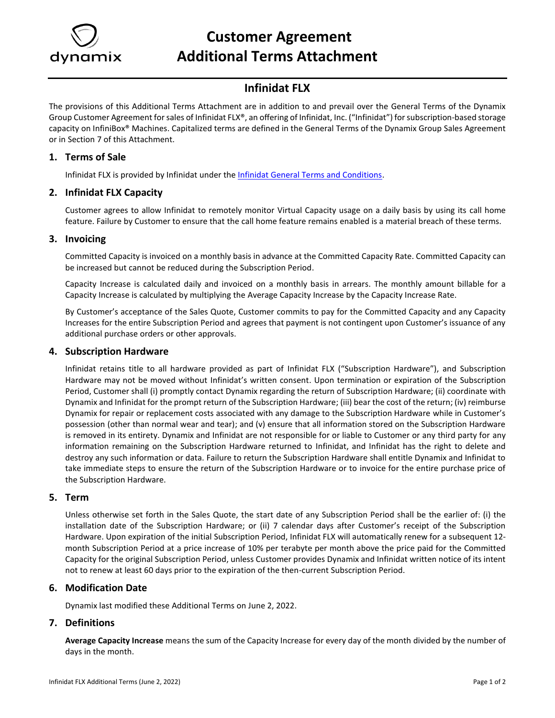

# **Customer Agreement Additional Terms Attachment**

## **Infinidat FLX**

The provisions of this Additional Terms Attachment are in addition to and prevail over the General Terms of the Dynamix Group Customer Agreement for sales of Infinidat FLX®, an offering of Infinidat, Inc. ("Infinidat") for subscription-based storage capacity on InfiniBox® Machines. Capitalized terms are defined in the General Terms of the Dynamix Group Sales Agreement or in Section 7 of this Attachment.

#### **1. Terms of Sale**

Infinidat FLX is provided by Infinidat under th[e Infinidat General Terms and Conditions.](https://www.infinidat.com/en/sites/default/files/resource-pdfs/INFINIDAT-Customer-Product-Online-TCs.pdf)

#### **2. Infinidat FLX Capacity**

Customer agrees to allow Infinidat to remotely monitor Virtual Capacity usage on a daily basis by using its call home feature. Failure by Customer to ensure that the call home feature remains enabled is a material breach of these terms.

#### **3. Invoicing**

Committed Capacity is invoiced on a monthly basis in advance at the Committed Capacity Rate. Committed Capacity can be increased but cannot be reduced during the Subscription Period.

Capacity Increase is calculated daily and invoiced on a monthly basis in arrears. The monthly amount billable for a Capacity Increase is calculated by multiplying the Average Capacity Increase by the Capacity Increase Rate.

By Customer's acceptance of the Sales Quote, Customer commits to pay for the Committed Capacity and any Capacity Increases for the entire Subscription Period and agrees that payment is not contingent upon Customer's issuance of any additional purchase orders or other approvals.

#### **4. Subscription Hardware**

Infinidat retains title to all hardware provided as part of Infinidat FLX ("Subscription Hardware"), and Subscription Hardware may not be moved without Infinidat's written consent. Upon termination or expiration of the Subscription Period, Customer shall (i) promptly contact Dynamix regarding the return of Subscription Hardware; (ii) coordinate with Dynamix and Infinidat for the prompt return of the Subscription Hardware; (iii) bear the cost of the return; (iv) reimburse Dynamix for repair or replacement costs associated with any damage to the Subscription Hardware while in Customer's possession (other than normal wear and tear); and (v) ensure that all information stored on the Subscription Hardware is removed in its entirety. Dynamix and Infinidat are not responsible for or liable to Customer or any third party for any information remaining on the Subscription Hardware returned to Infinidat, and Infinidat has the right to delete and destroy any such information or data. Failure to return the Subscription Hardware shall entitle Dynamix and Infinidat to take immediate steps to ensure the return of the Subscription Hardware or to invoice for the entire purchase price of the Subscription Hardware.

#### **5. Term**

Unless otherwise set forth in the Sales Quote, the start date of any Subscription Period shall be the earlier of: (i) the installation date of the Subscription Hardware; or (ii) 7 calendar days after Customer's receipt of the Subscription Hardware. Upon expiration of the initial Subscription Period, Infinidat FLX will automatically renew for a subsequent 12 month Subscription Period at a price increase of 10% per terabyte per month above the price paid for the Committed Capacity for the original Subscription Period, unless Customer provides Dynamix and Infinidat written notice of its intent not to renew at least 60 days prior to the expiration of the then-current Subscription Period.

### **6. Modification Date**

Dynamix last modified these Additional Terms on June 2, 2022.

### **7. Definitions**

**Average Capacity Increase** means the sum of the Capacity Increase for every day of the month divided by the number of days in the month.